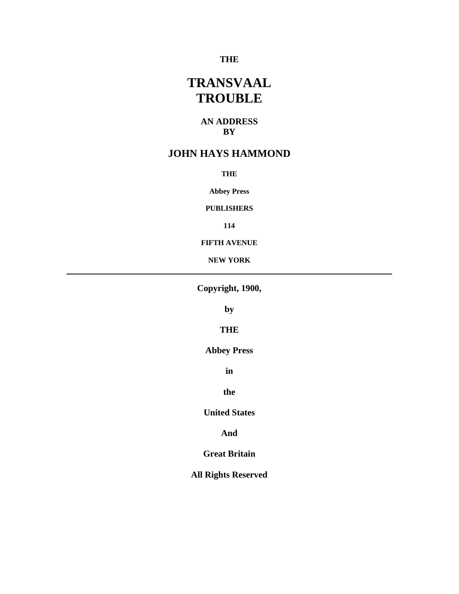# **THE**

# **TRANSVAAL TROUBLE**

### **AN ADDRESS BY**

# **JOHN HAYS HAMMOND**

**THE** 

**Abbey Press** 

**PUBLISHERS** 

**114** 

**FIFTH AVENUE** 

**NEW YORK** 

**Copyright, 1900,** 

**by** 

**THE** 

**Abbey Press** 

**in** 

**the** 

**United States** 

**And** 

**Great Britain** 

**All Rights Reserved**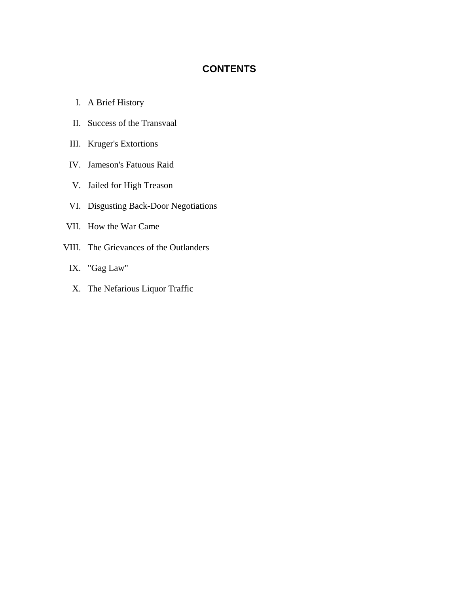# **CONTENTS**

- I. A Brief History
- II. Success of the Transvaal
- III. Kruger's Extortions
- IV. Jameson's Fatuous Raid
- V. Jailed for High Treason
- VI. Disgusting Back-Door Negotiations
- VII. How the War Came
- VIII. The Grievances of the Outlanders
	- IX. "Gag Law"
	- X. The Nefarious Liquor Traffic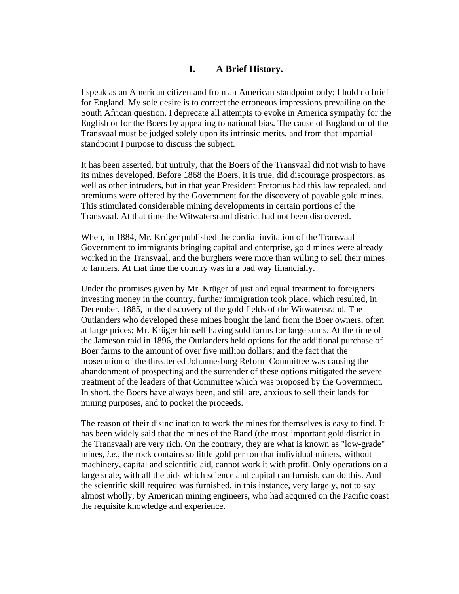# **I. A Brief History.**

I speak as an American citizen and from an American standpoint only; I hold no brief for England. My sole desire is to correct the erroneous impressions prevailing on the South African question. I deprecate all attempts to evoke in America sympathy for the English or for the Boers by appealing to national bias. The cause of England or of the Transvaal must be judged solely upon its intrinsic merits, and from that impartial standpoint I purpose to discuss the subject.

It has been asserted, but untruly, that the Boers of the Transvaal did not wish to have its mines developed. Before 1868 the Boers, it is true, did discourage prospectors, as well as other intruders, but in that year President Pretorius had this law repealed, and premiums were offered by the Government for the discovery of payable gold mines. This stimulated considerable mining developments in certain portions of the Transvaal. At that time the Witwatersrand district had not been discovered.

When, in 1884, Mr. Krüger published the cordial invitation of the Transvaal Government to immigrants bringing capital and enterprise, gold mines were already worked in the Transvaal, and the burghers were more than willing to sell their mines to farmers. At that time the country was in a bad way financially.

Under the promises given by Mr. Krüger of just and equal treatment to foreigners investing money in the country, further immigration took place, which resulted, in December, 1885, in the discovery of the gold fields of the Witwatersrand. The Outlanders who developed these mines bought the land from the Boer owners, often at large prices; Mr. Krüger himself having sold farms for large sums. At the time of the Jameson raid in 1896, the Outlanders held options for the additional purchase of Boer farms to the amount of over five million dollars; and the fact that the prosecution of the threatened Johannesburg Reform Committee was causing the abandonment of prospecting and the surrender of these options mitigated the severe treatment of the leaders of that Committee which was proposed by the Government. In short, the Boers have always been, and still are, anxious to sell their lands for mining purposes, and to pocket the proceeds.

The reason of their disinclination to work the mines for themselves is easy to find. It has been widely said that the mines of the Rand (the most important gold district in the Transvaal) are very rich. On the contrary, they are what is known as "low-grade" mines, *i.e.*, the rock contains so little gold per ton that individual miners, without machinery, capital and scientific aid, cannot work it with profit. Only operations on a large scale, with all the aids which science and capital can furnish, can do this. And the scientific skill required was furnished, in this instance, very largely, not to say almost wholly, by American mining engineers, who had acquired on the Pacific coast the requisite knowledge and experience.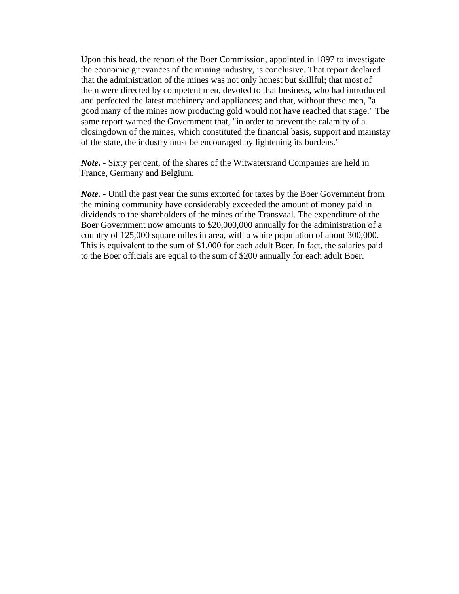Upon this head, the report of the Boer Commission, appointed in 1897 to investigate the economic grievances of the mining industry, is conclusive. That report declared that the administration of the mines was not only honest but skillful; that most of them were directed by competent men, devoted to that business, who had introduced and perfected the latest machinery and appliances; and that, without these men, "a good many of the mines now producing gold would not have reached that stage." The same report warned the Government that, "in order to prevent the calamity of a closingdown of the mines, which constituted the financial basis, support and mainstay of the state, the industry must be encouraged by lightening its burdens."

*Note.* - Sixty per cent, of the shares of the Witwatersrand Companies are held in France, Germany and Belgium.

*Note.* - Until the past year the sums extorted for taxes by the Boer Government from the mining community have considerably exceeded the amount of money paid in dividends to the shareholders of the mines of the Transvaal. The expenditure of the Boer Government now amounts to \$20,000,000 annually for the administration of a country of 125,000 square miles in area, with a white population of about 300,000. This is equivalent to the sum of \$1,000 for each adult Boer. In fact, the salaries paid to the Boer officials are equal to the sum of \$200 annually for each adult Boer.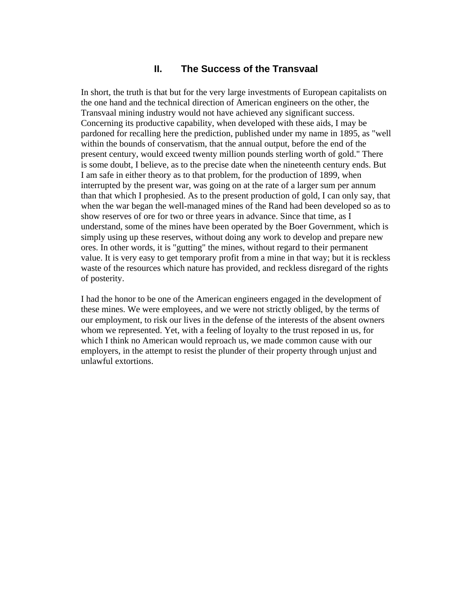# **II. The Success of the Transvaal**

In short, the truth is that but for the very large investments of European capitalists on the one hand and the technical direction of American engineers on the other, the Transvaal mining industry would not have achieved any significant success. Concerning its productive capability, when developed with these aids, I may be pardoned for recalling here the prediction, published under my name in 1895, as "well within the bounds of conservatism, that the annual output, before the end of the present century, would exceed twenty million pounds sterling worth of gold." There is some doubt, I believe, as to the precise date when the nineteenth century ends. But I am safe in either theory as to that problem, for the production of 1899, when interrupted by the present war, was going on at the rate of a larger sum per annum than that which I prophesied. As to the present production of gold, I can only say, that when the war began the well-managed mines of the Rand had been developed so as to show reserves of ore for two or three years in advance. Since that time, as I understand, some of the mines have been operated by the Boer Government, which is simply using up these reserves, without doing any work to develop and prepare new ores. In other words, it is "gutting" the mines, without regard to their permanent value. It is very easy to get temporary profit from a mine in that way; but it is reckless waste of the resources which nature has provided, and reckless disregard of the rights of posterity.

I had the honor to be one of the American engineers engaged in the development of these mines. We were employees, and we were not strictly obliged, by the terms of our employment, to risk our lives in the defense of the interests of the absent owners whom we represented. Yet, with a feeling of loyalty to the trust reposed in us, for which I think no American would reproach us, we made common cause with our employers, in the attempt to resist the plunder of their property through unjust and unlawful extortions.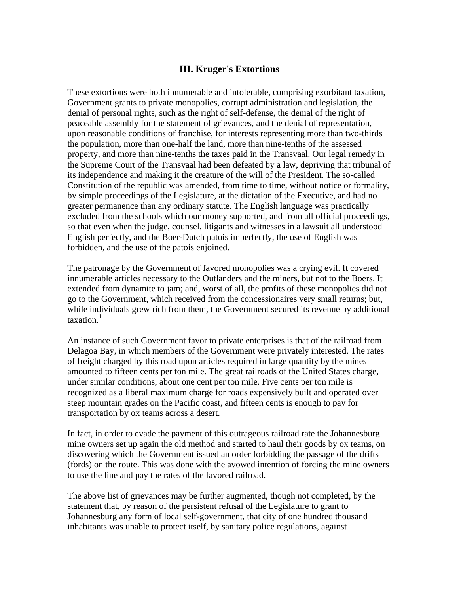### **III. Kruger's Extortions**

These extortions were both innumerable and intolerable, comprising exorbitant taxation, Government grants to private monopolies, corrupt administration and legislation, the denial of personal rights, such as the right of self-defense, the denial of the right of peaceable assembly for the statement of grievances, and the denial of representation, upon reasonable conditions of franchise, for interests representing more than two-thirds the population, more than one-half the land, more than nine-tenths of the assessed property, and more than nine-tenths the taxes paid in the Transvaal. Our legal remedy in the Supreme Court of the Transvaal had been defeated by a law, depriving that tribunal of its independence and making it the creature of the will of the President. The so-called Constitution of the republic was amended, from time to time, without notice or formality, by simple proceedings of the Legislature, at the dictation of the Executive, and had no greater permanence than any ordinary statute. The English language was practically excluded from the schools which our money supported, and from all official proceedings, so that even when the judge, counsel, litigants and witnesses in a lawsuit all understood English perfectly, and the Boer-Dutch patois imperfectly, the use of English was forbidden, and the use of the patois enjoined.

The patronage by the Government of favored monopolies was a crying evil. It covered innumerable articles necessary to the Outlanders and the miners, but not to the Boers. It extended from dynamite to jam; and, worst of all, the profits of these monopolies did not go to the Government, which received from the concessionaires very small returns; but, while individuals grew rich from them, the Government secured its revenue by additional taxation. $1$ 

An instance of such Government favor to private enterprises is that of the railroad from Delagoa Bay, in which members of the Government were privately interested. The rates of freight charged by this road upon articles required in large quantity by the mines amounted to fifteen cents per ton mile. The great railroads of the United States charge, under similar conditions, about one cent per ton mile. Five cents per ton mile is recognized as a liberal maximum charge for roads expensively built and operated over steep mountain grades on the Pacific coast, and fifteen cents is enough to pay for transportation by ox teams across a desert.

In fact, in order to evade the payment of this outrageous railroad rate the Johannesburg mine owners set up again the old method and started to haul their goods by ox teams, on discovering which the Government issued an order forbidding the passage of the drifts (fords) on the route. This was done with the avowed intention of forcing the mine owners to use the line and pay the rates of the favored railroad.

The above list of grievances may be further augmented, though not completed, by the statement that, by reason of the persistent refusal of the Legislature to grant to Johannesburg any form of local self-government, that city of one hundred thousand inhabitants was unable to protect itself, by sanitary police regulations, against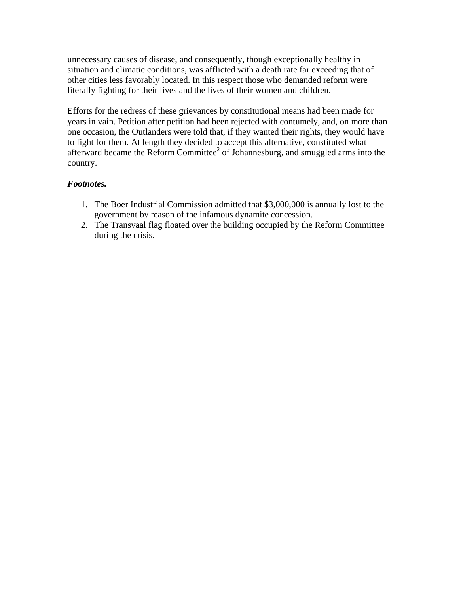unnecessary causes of disease, and consequently, though exceptionally healthy in situation and climatic conditions, was afflicted with a death rate far exceeding that of other cities less favorably located. In this respect those who demanded reform were literally fighting for their lives and the lives of their women and children.

Efforts for the redress of these grievances by constitutional means had been made for years in vain. Petition after petition had been rejected with contumely, and, on more than one occasion, the Outlanders were told that, if they wanted their rights, they would have to fight for them. At length they decided to accept this alternative, constituted what afterward became the Reform Committee<sup>2</sup> of Johannesburg, and smuggled arms into the country.

## *Footnotes.*

- 1. The Boer Industrial Commission admitted that \$3,000,000 is annually lost to the government by reason of the infamous dynamite concession.
- 2. The Transvaal flag floated over the building occupied by the Reform Committee during the crisis.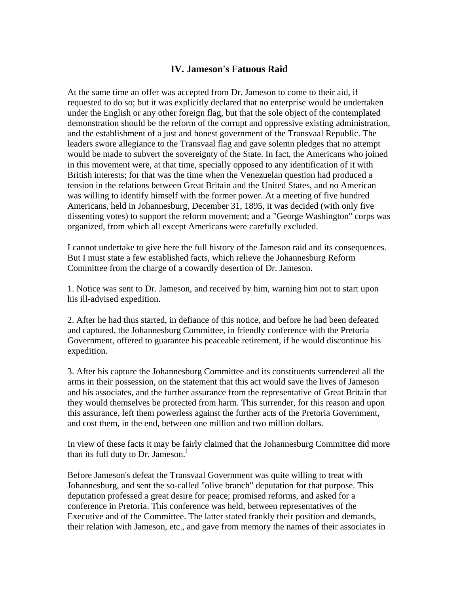# **IV. Jameson's Fatuous Raid**

At the same time an offer was accepted from Dr. Jameson to come to their aid, if requested to do so; but it was explicitly declared that no enterprise would be undertaken under the English or any other foreign flag, but that the sole object of the contemplated demonstration should be the reform of the corrupt and oppressive existing administration, and the establishment of a just and honest government of the Transvaal Republic. The leaders swore allegiance to the Transvaal flag and gave solemn pledges that no attempt would be made to subvert the sovereignty of the State. In fact, the Americans who joined in this movement were, at that time, specially opposed to any identification of it with British interests; for that was the time when the Venezuelan question had produced a tension in the relations between Great Britain and the United States, and no American was willing to identify himself with the former power. At a meeting of five hundred Americans, held in Johannesburg, December 31, 1895, it was decided (with only five dissenting votes) to support the reform movement; and a "George Washington" corps was organized, from which all except Americans were carefully excluded.

I cannot undertake to give here the full history of the Jameson raid and its consequences. But I must state a few established facts, which relieve the Johannesburg Reform Committee from the charge of a cowardly desertion of Dr. Jameson.

1. Notice was sent to Dr. Jameson, and received by him, warning him not to start upon his ill-advised expedition.

2. After he had thus started, in defiance of this notice, and before he had been defeated and captured, the Johannesburg Committee, in friendly conference with the Pretoria Government, offered to guarantee his peaceable retirement, if he would discontinue his expedition.

3. After his capture the Johannesburg Committee and its constituents surrendered all the arms in their possession, on the statement that this act would save the lives of Jameson and his associates, and the further assurance from the representative of Great Britain that they would themselves be protected from harm. This surrender, for this reason and upon this assurance, left them powerless against the further acts of the Pretoria Government, and cost them, in the end, between one million and two million dollars.

In view of these facts it may be fairly claimed that the Johannesburg Committee did more than its full duty to Dr. Jameson.<sup>1</sup>

Before Jameson's defeat the Transvaal Government was quite willing to treat with Johannesburg, and sent the so-called "olive branch" deputation for that purpose. This deputation professed a great desire for peace; promised reforms, and asked for a conference in Pretoria. This conference was held, between representatives of the Executive and of the Committee. The latter stated frankly their position and demands, their relation with Jameson, etc., and gave from memory the names of their associates in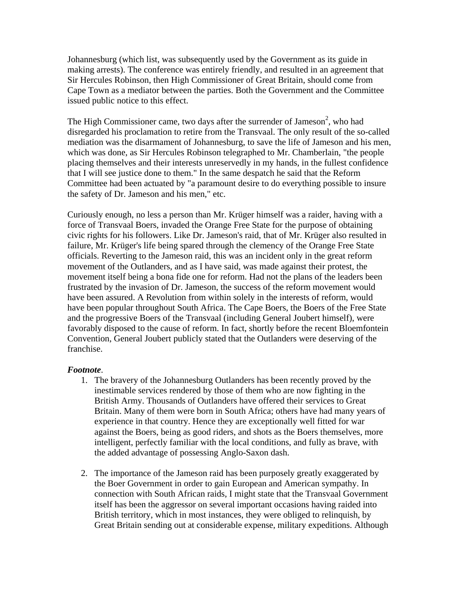Johannesburg (which list, was subsequently used by the Government as its guide in making arrests). The conference was entirely friendly, and resulted in an agreement that Sir Hercules Robinson, then High Commissioner of Great Britain, should come from Cape Town as a mediator between the parties. Both the Government and the Committee issued public notice to this effect.

The High Commissioner came, two days after the surrender of Jameson<sup>2</sup>, who had disregarded his proclamation to retire from the Transvaal. The only result of the so-called mediation was the disarmament of Johannesburg, to save the life of Jameson and his men, which was done, as Sir Hercules Robinson telegraphed to Mr. Chamberlain, "the people placing themselves and their interests unreservedly in my hands, in the fullest confidence that I will see justice done to them." In the same despatch he said that the Reform Committee had been actuated by "a paramount desire to do everything possible to insure the safety of Dr. Jameson and his men," etc.

Curiously enough, no less a person than Mr. Krüger himself was a raider, having with a force of Transvaal Boers, invaded the Orange Free State for the purpose of obtaining civic rights for his followers. Like Dr. Jameson's raid, that of Mr. Krüger also resulted in failure, Mr. Krüger's life being spared through the clemency of the Orange Free State officials. Reverting to the Jameson raid, this was an incident only in the great reform movement of the Outlanders, and as I have said, was made against their protest, the movement itself being a bona fide one for reform. Had not the plans of the leaders been frustrated by the invasion of Dr. Jameson, the success of the reform movement would have been assured. A Revolution from within solely in the interests of reform, would have been popular throughout South Africa. The Cape Boers, the Boers of the Free State and the progressive Boers of the Transvaal (including General Joubert himself), were favorably disposed to the cause of reform. In fact, shortly before the recent Bloemfontein Convention, General Joubert publicly stated that the Outlanders were deserving of the franchise.

#### *Footnote*.

- 1. The bravery of the Johannesburg Outlanders has been recently proved by the inestimable services rendered by those of them who are now fighting in the British Army. Thousands of Outlanders have offered their services to Great Britain. Many of them were born in South Africa; others have had many years of experience in that country. Hence they are exceptionally well fitted for war against the Boers, being as good riders, and shots as the Boers themselves, more intelligent, perfectly familiar with the local conditions, and fully as brave, with the added advantage of possessing Anglo-Saxon dash.
- 2. The importance of the Jameson raid has been purposely greatly exaggerated by the Boer Government in order to gain European and American sympathy. In connection with South African raids, I might state that the Transvaal Government itself has been the aggressor on several important occasions having raided into British territory, which in most instances, they were obliged to relinquish, by Great Britain sending out at considerable expense, military expeditions. Although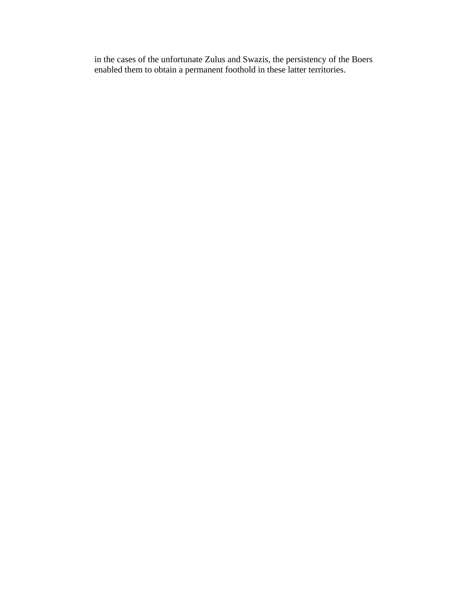in the cases of the unfortunate Zulus and Swazis, the persistency of the Boers enabled them to obtain a permanent foothold in these latter territories.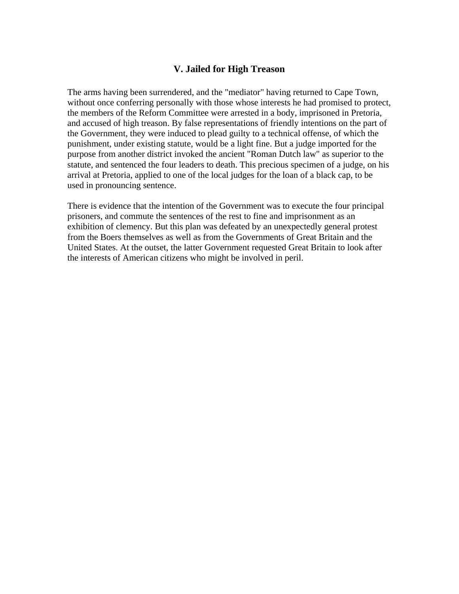### **V. Jailed for High Treason**

The arms having been surrendered, and the "mediator" having returned to Cape Town, without once conferring personally with those whose interests he had promised to protect, the members of the Reform Committee were arrested in a body, imprisoned in Pretoria, and accused of high treason. By false representations of friendly intentions on the part of the Government, they were induced to plead guilty to a technical offense, of which the punishment, under existing statute, would be a light fine. But a judge imported for the purpose from another district invoked the ancient "Roman Dutch law" as superior to the statute, and sentenced the four leaders to death. This precious specimen of a judge, on his arrival at Pretoria, applied to one of the local judges for the loan of a black cap, to be used in pronouncing sentence.

There is evidence that the intention of the Government was to execute the four principal prisoners, and commute the sentences of the rest to fine and imprisonment as an exhibition of clemency. But this plan was defeated by an unexpectedly general protest from the Boers themselves as well as from the Governments of Great Britain and the United States. At the outset, the latter Government requested Great Britain to look after the interests of American citizens who might be involved in peril.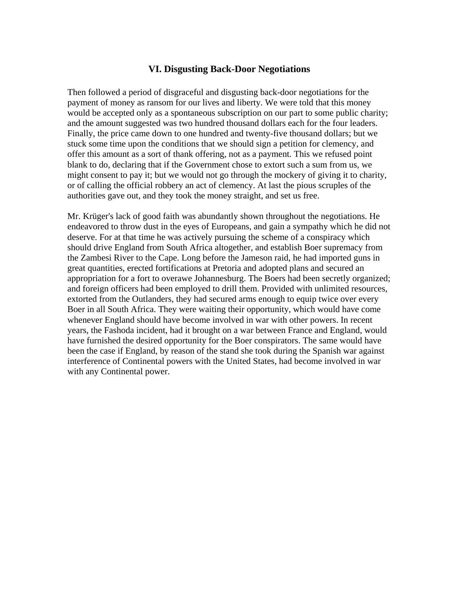### **VI. Disgusting Back-Door Negotiations**

Then followed a period of disgraceful and disgusting back-door negotiations for the payment of money as ransom for our lives and liberty. We were told that this money would be accepted only as a spontaneous subscription on our part to some public charity; and the amount suggested was two hundred thousand dollars each for the four leaders. Finally, the price came down to one hundred and twenty-five thousand dollars; but we stuck some time upon the conditions that we should sign a petition for clemency, and offer this amount as a sort of thank offering, not as a payment. This we refused point blank to do, declaring that if the Government chose to extort such a sum from us, we might consent to pay it; but we would not go through the mockery of giving it to charity, or of calling the official robbery an act of clemency. At last the pious scruples of the authorities gave out, and they took the money straight, and set us free.

Mr. Krüger's lack of good faith was abundantly shown throughout the negotiations. He endeavored to throw dust in the eyes of Europeans, and gain a sympathy which he did not deserve. For at that time he was actively pursuing the scheme of a conspiracy which should drive England from South Africa altogether, and establish Boer supremacy from the Zambesi River to the Cape. Long before the Jameson raid, he had imported guns in great quantities, erected fortifications at Pretoria and adopted plans and secured an appropriation for a fort to overawe Johannesburg. The Boers had been secretly organized; and foreign officers had been employed to drill them. Provided with unlimited resources, extorted from the Outlanders, they had secured arms enough to equip twice over every Boer in all South Africa. They were waiting their opportunity, which would have come whenever England should have become involved in war with other powers. In recent years, the Fashoda incident, had it brought on a war between France and England, would have furnished the desired opportunity for the Boer conspirators. The same would have been the case if England, by reason of the stand she took during the Spanish war against interference of Continental powers with the United States, had become involved in war with any Continental power.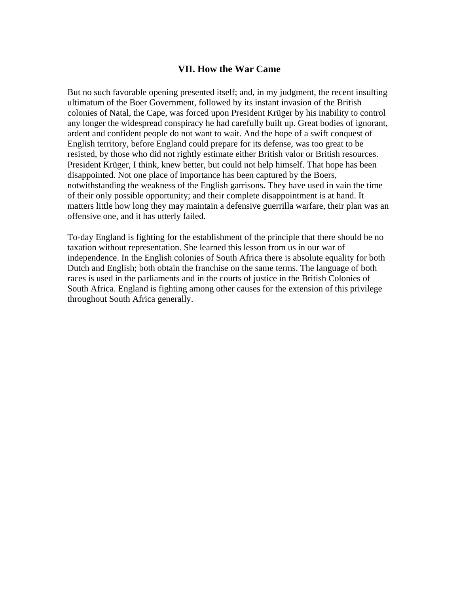### **VII. How the War Came**

But no such favorable opening presented itself; and, in my judgment, the recent insulting ultimatum of the Boer Government, followed by its instant invasion of the British colonies of Natal, the Cape, was forced upon President Krüger by his inability to control any longer the widespread conspiracy he had carefully built up. Great bodies of ignorant, ardent and confident people do not want to wait. And the hope of a swift conquest of English territory, before England could prepare for its defense, was too great to be resisted, by those who did not rightly estimate either British valor or British resources. President Krüger, I think, knew better, but could not help himself. That hope has been disappointed. Not one place of importance has been captured by the Boers, notwithstanding the weakness of the English garrisons. They have used in vain the time of their only possible opportunity; and their complete disappointment is at hand. It matters little how long they may maintain a defensive guerrilla warfare, their plan was an offensive one, and it has utterly failed.

To-day England is fighting for the establishment of the principle that there should be no taxation without representation. She learned this lesson from us in our war of independence. In the English colonies of South Africa there is absolute equality for both Dutch and English; both obtain the franchise on the same terms. The language of both races is used in the parliaments and in the courts of justice in the British Colonies of South Africa. England is fighting among other causes for the extension of this privilege throughout South Africa generally.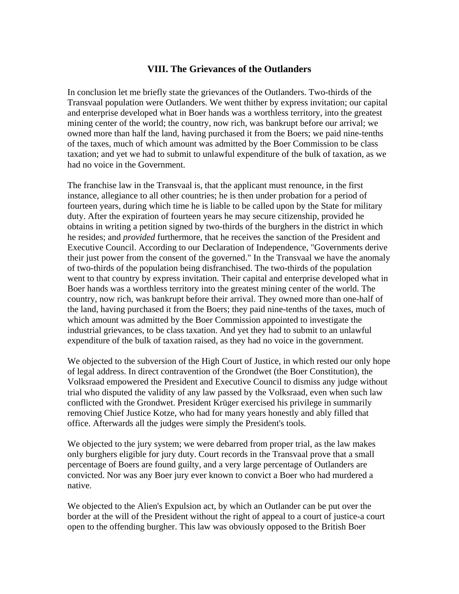### **VIII. The Grievances of the Outlanders**

In conclusion let me briefly state the grievances of the Outlanders. Two-thirds of the Transvaal population were Outlanders. We went thither by express invitation; our capital and enterprise developed what in Boer hands was a worthless territory, into the greatest mining center of the world; the country, now rich, was bankrupt before our arrival; we owned more than half the land, having purchased it from the Boers; we paid nine-tenths of the taxes, much of which amount was admitted by the Boer Commission to be class taxation; and yet we had to submit to unlawful expenditure of the bulk of taxation, as we had no voice in the Government.

The franchise law in the Transvaal is, that the applicant must renounce, in the first instance, allegiance to all other countries; he is then under probation for a period of fourteen years, during which time he is liable to be called upon by the State for military duty. After the expiration of fourteen years he may secure citizenship, provided he obtains in writing a petition signed by two-thirds of the burghers in the district in which he resides; and *provided* furthermore, that he receives the sanction of the President and Executive Council. According to our Declaration of Independence, "Governments derive their just power from the consent of the governed." In the Transvaal we have the anomaly of two-thirds of the population being disfranchised. The two-thirds of the population went to that country by express invitation. Their capital and enterprise developed what in Boer hands was a worthless territory into the greatest mining center of the world. The country, now rich, was bankrupt before their arrival. They owned more than one-half of the land, having purchased it from the Boers; they paid nine-tenths of the taxes, much of which amount was admitted by the Boer Commission appointed to investigate the industrial grievances, to be class taxation. And yet they had to submit to an unlawful expenditure of the bulk of taxation raised, as they had no voice in the government.

We objected to the subversion of the High Court of Justice, in which rested our only hope of legal address. In direct contravention of the Grondwet (the Boer Constitution), the Volksraad empowered the President and Executive Council to dismiss any judge without trial who disputed the validity of any law passed by the Volksraad, even when such law conflicted with the Grondwet. President Krüger exercised his privilege in summarily removing Chief Justice Kotze, who had for many years honestly and ably filled that office. Afterwards all the judges were simply the President's tools.

We objected to the jury system; we were debarred from proper trial, as the law makes only burghers eligible for jury duty. Court records in the Transvaal prove that a small percentage of Boers are found guilty, and a very large percentage of Outlanders are convicted. Nor was any Boer jury ever known to convict a Boer who had murdered a native.

We objected to the Alien's Expulsion act, by which an Outlander can be put over the border at the will of the President without the right of appeal to a court of justice-a court open to the offending burgher. This law was obviously opposed to the British Boer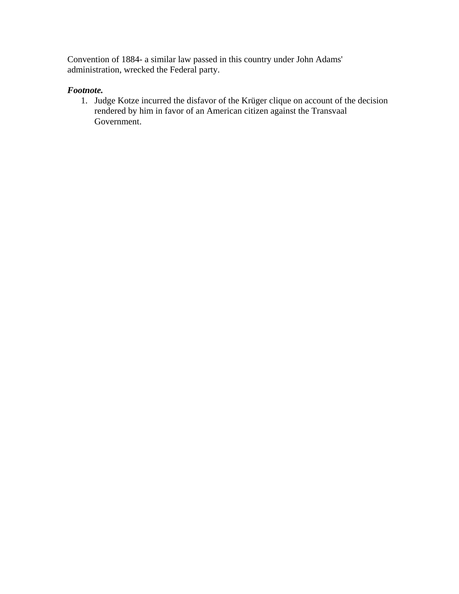Convention of 1884- a similar law passed in this country under John Adams' administration, wrecked the Federal party.

# *Footnote.*

1. Judge Kotze incurred the disfavor of the Krüger clique on account of the decision rendered by him in favor of an American citizen against the Transvaal Government.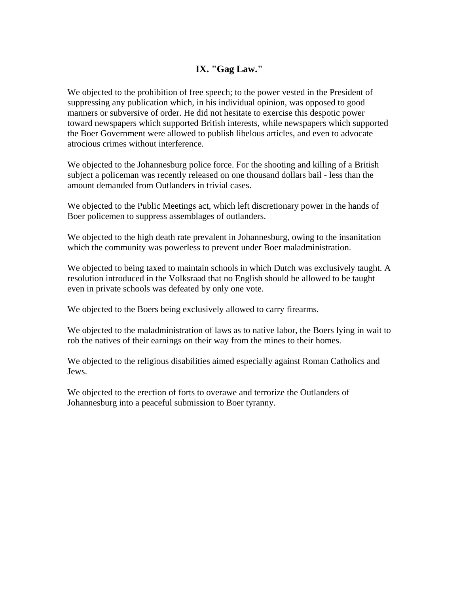# **IX. "Gag Law."**

We objected to the prohibition of free speech; to the power vested in the President of suppressing any publication which, in his individual opinion, was opposed to good manners or subversive of order. He did not hesitate to exercise this despotic power toward newspapers which supported British interests, while newspapers which supported the Boer Government were allowed to publish libelous articles, and even to advocate atrocious crimes without interference.

We objected to the Johannesburg police force. For the shooting and killing of a British subject a policeman was recently released on one thousand dollars bail - less than the amount demanded from Outlanders in trivial cases.

We objected to the Public Meetings act, which left discretionary power in the hands of Boer policemen to suppress assemblages of outlanders.

We objected to the high death rate prevalent in Johannesburg, owing to the insanitation which the community was powerless to prevent under Boer maladministration.

We objected to being taxed to maintain schools in which Dutch was exclusively taught. A resolution introduced in the Volksraad that no English should be allowed to be taught even in private schools was defeated by only one vote.

We objected to the Boers being exclusively allowed to carry firearms.

We objected to the maladministration of laws as to native labor, the Boers lying in wait to rob the natives of their earnings on their way from the mines to their homes.

We objected to the religious disabilities aimed especially against Roman Catholics and Jews.

We objected to the erection of forts to overawe and terrorize the Outlanders of Johannesburg into a peaceful submission to Boer tyranny.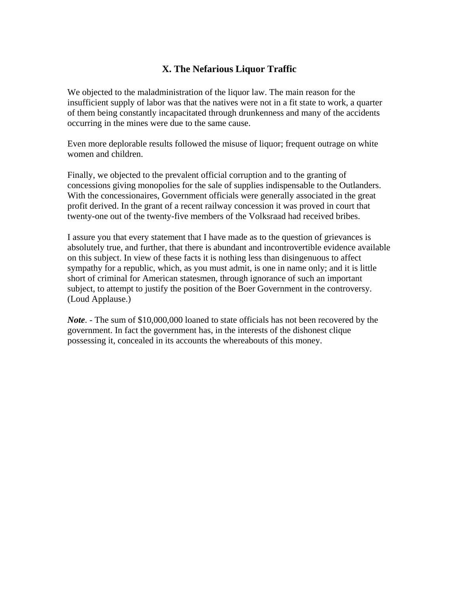# **X. The Nefarious Liquor Traffic**

We objected to the maladministration of the liquor law. The main reason for the insufficient supply of labor was that the natives were not in a fit state to work, a quarter of them being constantly incapacitated through drunkenness and many of the accidents occurring in the mines were due to the same cause.

Even more deplorable results followed the misuse of liquor; frequent outrage on white women and children.

Finally, we objected to the prevalent official corruption and to the granting of concessions giving monopolies for the sale of supplies indispensable to the Outlanders. With the concessionaires, Government officials were generally associated in the great profit derived. In the grant of a recent railway concession it was proved in court that twenty-one out of the twenty-five members of the Volksraad had received bribes.

I assure you that every statement that I have made as to the question of grievances is absolutely true, and further, that there is abundant and incontrovertible evidence available on this subject. In view of these facts it is nothing less than disingenuous to affect sympathy for a republic, which, as you must admit, is one in name only; and it is little short of criminal for American statesmen, through ignorance of such an important subject, to attempt to justify the position of the Boer Government in the controversy. (Loud Applause.)

*Note*. - The sum of \$10,000,000 loaned to state officials has not been recovered by the government. In fact the government has, in the interests of the dishonest clique possessing it, concealed in its accounts the whereabouts of this money.